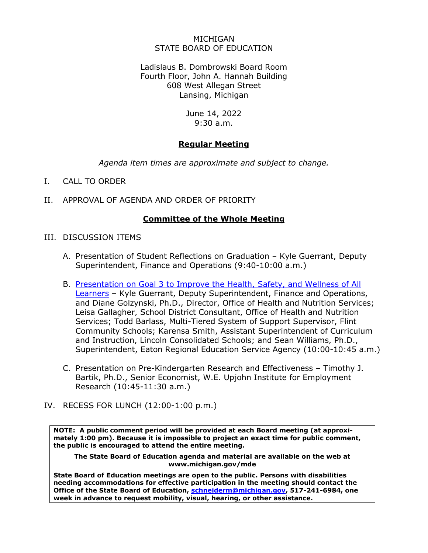#### MICHIGAN STATE BOARD OF EDUCATION

Ladislaus B. Dombrowski Board Room Fourth Floor, John A. Hannah Building 608 West Allegan Street Lansing, Michigan

> June 14, 2022 9:30 a.m.

## **Regular Meeting**

*Agenda item times are approximate and subject to change.*

- I. CALL TO ORDER
- II. APPROVAL OF AGENDA AND ORDER OF PRIORITY

### **Committee of the Whole Meeting**

- III. DISCUSSION ITEMS
	- A. Presentation of Student Reflections on Graduation Kyle Guerrant, Deputy Superintendent, Finance and Operations (9:40-10:00 a.m.)
	- B. Presentation on Goal 3 to Improve the Health, Safety, and Wellness of All [Learners](https://www.michigan.gov/mde/-/media/Project/Websites/mde/State-Board/Agendas/2022/June-links/Item-B-Top-10-Strategic-Education-Plan.pdf) – Kyle Guerrant, Deputy Superintendent, Finance and Operations, and Diane Golzynski, Ph.D., Director, Office of Health and Nutrition Services; Leisa Gallagher, School District Consultant, Office of Health and Nutrition Services; Todd Barlass, Multi-Tiered System of Support Supervisor, Flint Community Schools; Karensa Smith, Assistant Superintendent of Curriculum and Instruction, Lincoln Consolidated Schools; and Sean Williams, Ph.D., Superintendent, Eaton Regional Education Service Agency (10:00-10:45 a.m.)
	- C. Presentation on Pre-Kindergarten Research and Effectiveness Timothy J. Bartik, Ph.D., Senior Economist, W.E. Upjohn Institute for Employment Research (10:45-11:30 a.m.)
- IV. RECESS FOR LUNCH (12:00-1:00 p.m.)

**NOTE: A public comment period will be provided at each Board meeting (at approximately 1:00 pm). Because it is impossible to project an exact time for public comment, the public is encouraged to attend the entire meeting.**

**The State Board of Education agenda and material are available on the web at www.michigan.gov/mde**

**State Board of Education meetings are open to the public. Persons with disabilities needing accommodations for effective participation in the meeting should contact the Office of the State Board of Education, [schneiderm@michigan.gov,](mailto:schneiderm@michigan.gov) 517-241-6984, one week in advance to request mobility, visual, hearing, or other assistance.**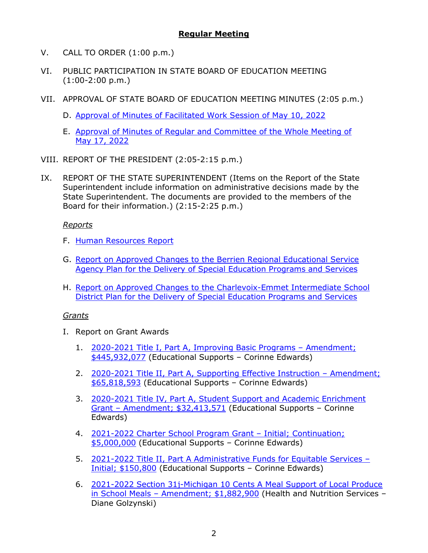# **Regular Meeting**

- V. CALL TO ORDER (1:00 p.m.)
- VI. PUBLIC PARTICIPATION IN STATE BOARD OF EDUCATION MEETING (1:00-2:00 p.m.)
- VII. APPROVAL OF STATE BOARD OF EDUCATION MEETING MINUTES (2:05 p.m.)
	- D. [Approval of Minutes of Facilitated Work Session of May 10, 2022](https://www.michigan.gov/mde/-/media/Project/Websites/mde/State-Board/Agendas/2022/June-links/Item-D-SBE-Minutes-Work-Session-May-10-2022.pdf)
	- E. Approval [of Minutes of Regular and Committee of the Whole Meeting of](https://www.michigan.gov/mde/-/media/Project/Websites/mde/State-Board/Agendas/2022/June-links/Item-E-SBE-Minutes-May-17-2022.pdf) [May 17, 2022](https://www.michigan.gov/mde/-/media/Project/Websites/mde/State-Board/Agendas/2022/June-links/Item-E-SBE-Minutes-May-17-2022.pdf)
- VIII. REPORT OF THE PRESIDENT (2:05-2:15 p.m.)
- IX. REPORT OF THE STATE SUPERINTENDENT (Items on the Report of the State Superintendent include information on administrative decisions made by the State Superintendent. The documents are provided to the members of the Board for their information.) (2:15-2:25 p.m.)

### *Reports*

- F. [Human Resources Report](https://www.michigan.gov/mde/-/media/Project/Websites/mde/State-Board/Agendas/2022/June-links/Item-F-HR-Board-Report-June-2022.pdf)
- G. [Report on Approved Changes to the Berrien Regional Educational Service](https://www.michigan.gov/mde/-/media/Project/Websites/mde/State-Board/Agendas/2022/June-links/Item-G-Berrien-RESA-ISD-Plan-Memo-and-Summary-of-Changes-(003).pdf)  [Agency Plan for the Delivery of Special Education Programs and Services](https://www.michigan.gov/mde/-/media/Project/Websites/mde/State-Board/Agendas/2022/June-links/Item-G-Berrien-RESA-ISD-Plan-Memo-and-Summary-of-Changes-(003).pdf)
- H. [Report on Approved Changes to the Charlevoix-Emmet Intermediate School](https://www.michigan.gov/mde/-/media/Project/Websites/mde/State-Board/Agendas/2022/June-links/Item-H-Charlevoix-Emmet-ISD-Plan-Memo-and-Summary-6-6-22.pdf)  [District Plan for the Delivery of Special Education Programs and Services](https://www.michigan.gov/mde/-/media/Project/Websites/mde/State-Board/Agendas/2022/June-links/Item-H-Charlevoix-Emmet-ISD-Plan-Memo-and-Summary-6-6-22.pdf)

### *Grants*

- I. Report on Grant Awards
	- 1. [2020-2021 Title I, Part A, Improving Basic Programs Amendment;](https://gcc02.safelinks.protection.outlook.com/?url=https%3A%2F%2Fwww.michigan.gov%2Fmde%2F-%2Fmedia%2FProject%2FWebsites%2Fmde%2FOFM%2FGrants%2FGrant%2520Award%2520Packets%2520-%2520June%2520SBE%2520Agenda%2F2020-2021%2520Title%2520I%2520Part%2520A%2520Improving%2520Basic%2520Programs%2520PP%2520FINAL.pdf&data=05%7C01%7CSchneiderM%40michigan.gov%7C8ae4b91425bd47b15ae408da3379a4d0%7Cd5fb7087377742ad966a892ef47225d1%7C0%7C0%7C637878894787434698%7CUnknown%7CTWFpbGZsb3d8eyJWIjoiMC4wLjAwMDAiLCJQIjoiV2luMzIiLCJBTiI6Ik1haWwiLCJXVCI6Mn0%3D%7C3000%7C%7C%7C&sdata=Hl3h4hxHVMpDhH4bQxqhxaFtn50z1mV98V1w2uuL6Ws%3D&reserved=0)  [\\$445,932,077](https://gcc02.safelinks.protection.outlook.com/?url=https%3A%2F%2Fwww.michigan.gov%2Fmde%2F-%2Fmedia%2FProject%2FWebsites%2Fmde%2FOFM%2FGrants%2FGrant%2520Award%2520Packets%2520-%2520June%2520SBE%2520Agenda%2F2020-2021%2520Title%2520I%2520Part%2520A%2520Improving%2520Basic%2520Programs%2520PP%2520FINAL.pdf&data=05%7C01%7CSchneiderM%40michigan.gov%7C8ae4b91425bd47b15ae408da3379a4d0%7Cd5fb7087377742ad966a892ef47225d1%7C0%7C0%7C637878894787434698%7CUnknown%7CTWFpbGZsb3d8eyJWIjoiMC4wLjAwMDAiLCJQIjoiV2luMzIiLCJBTiI6Ik1haWwiLCJXVCI6Mn0%3D%7C3000%7C%7C%7C&sdata=Hl3h4hxHVMpDhH4bQxqhxaFtn50z1mV98V1w2uuL6Ws%3D&reserved=0) (Educational Supports – Corinne Edwards)
	- 2. [2020-2021 Title II, Part A, Supporting Effective Instruction Amendment;](https://gcc02.safelinks.protection.outlook.com/?url=https%3A%2F%2Fwww.michigan.gov%2Fmde%2F-%2Fmedia%2FProject%2FWebsites%2Fmde%2FOFM%2FGrants%2FGrant%2520Award%2520Packets%2520-%2520June%2520SBE%2520Agenda%2F2020-2021%2520Title%2520II%2520Part%2520A%2520Supporting%2520Effective%2520Instruction%2520PP%2520FINAL.pdf&data=05%7C01%7CSchneiderM%40michigan.gov%7C8ae4b91425bd47b15ae408da3379a4d0%7Cd5fb7087377742ad966a892ef47225d1%7C0%7C0%7C637878894787434698%7CUnknown%7CTWFpbGZsb3d8eyJWIjoiMC4wLjAwMDAiLCJQIjoiV2luMzIiLCJBTiI6Ik1haWwiLCJXVCI6Mn0%3D%7C3000%7C%7C%7C&sdata=LpSXqglA2KdUMWdPb%2BwftEeIK%2FGH5kfwl77%2FhEta%2FSo%3D&reserved=0)  [\\$65,818,593](https://gcc02.safelinks.protection.outlook.com/?url=https%3A%2F%2Fwww.michigan.gov%2Fmde%2F-%2Fmedia%2FProject%2FWebsites%2Fmde%2FOFM%2FGrants%2FGrant%2520Award%2520Packets%2520-%2520June%2520SBE%2520Agenda%2F2020-2021%2520Title%2520II%2520Part%2520A%2520Supporting%2520Effective%2520Instruction%2520PP%2520FINAL.pdf&data=05%7C01%7CSchneiderM%40michigan.gov%7C8ae4b91425bd47b15ae408da3379a4d0%7Cd5fb7087377742ad966a892ef47225d1%7C0%7C0%7C637878894787434698%7CUnknown%7CTWFpbGZsb3d8eyJWIjoiMC4wLjAwMDAiLCJQIjoiV2luMzIiLCJBTiI6Ik1haWwiLCJXVCI6Mn0%3D%7C3000%7C%7C%7C&sdata=LpSXqglA2KdUMWdPb%2BwftEeIK%2FGH5kfwl77%2FhEta%2FSo%3D&reserved=0) (Educational Supports – Corinne Edwards)
	- 3. 2020-2021 Title IV, Part A, Student Support and Academic Enrichment [Grant – Amendment; \\$32,413,571](https://gcc02.safelinks.protection.outlook.com/?url=https%3A%2F%2Fwww.michigan.gov%2Fmde%2F-%2Fmedia%2FProject%2FWebsites%2Fmde%2FOFM%2FGrants%2FGrant%2520Award%2520Packets%2520-%2520June%2520SBE%2520Agenda%2F2020-2021%2520Title%2520IV%2520Part%2520A%2520SSAE%2520Grant%2520PP%2520FINAL.pdf&data=05%7C01%7CSchneiderM%40michigan.gov%7C8ae4b91425bd47b15ae408da3379a4d0%7Cd5fb7087377742ad966a892ef47225d1%7C0%7C0%7C637878894787434698%7CUnknown%7CTWFpbGZsb3d8eyJWIjoiMC4wLjAwMDAiLCJQIjoiV2luMzIiLCJBTiI6Ik1haWwiLCJXVCI6Mn0%3D%7C3000%7C%7C%7C&sdata=wL4JoHmAqRGbYlYH%2FEI7Uvf54qlCeC9jX9r%2FCWXYaFU%3D&reserved=0) (Educational Supports – Corinne Edwards)
	- 4. [2021-2022 Charter School Program Grant Initial; Continuation;](https://gcc02.safelinks.protection.outlook.com/?url=https%3A%2F%2Fwww.michigan.gov%2Fmde%2F-%2Fmedia%2FProject%2FWebsites%2Fmde%2FOFM%2FGrants%2FGrant%2520Award%2520Packets%2520-%2520June%2520SBE%2520Agenda%2F2021-2022%2520Charter%2520School%2520Program%2520Grant%2520PP%2520FINAL.pdf&data=05%7C01%7CSchneiderM%40michigan.gov%7C8ae4b91425bd47b15ae408da3379a4d0%7Cd5fb7087377742ad966a892ef47225d1%7C0%7C0%7C637878894787434698%7CUnknown%7CTWFpbGZsb3d8eyJWIjoiMC4wLjAwMDAiLCJQIjoiV2luMzIiLCJBTiI6Ik1haWwiLCJXVCI6Mn0%3D%7C3000%7C%7C%7C&sdata=tZ8jC5LGUSWIIUPA2CqMQUEkVQCXkxWYww3o%2BJ5%2B9fY%3D&reserved=0)  [\\$5,000,000](https://gcc02.safelinks.protection.outlook.com/?url=https%3A%2F%2Fwww.michigan.gov%2Fmde%2F-%2Fmedia%2FProject%2FWebsites%2Fmde%2FOFM%2FGrants%2FGrant%2520Award%2520Packets%2520-%2520June%2520SBE%2520Agenda%2F2021-2022%2520Charter%2520School%2520Program%2520Grant%2520PP%2520FINAL.pdf&data=05%7C01%7CSchneiderM%40michigan.gov%7C8ae4b91425bd47b15ae408da3379a4d0%7Cd5fb7087377742ad966a892ef47225d1%7C0%7C0%7C637878894787434698%7CUnknown%7CTWFpbGZsb3d8eyJWIjoiMC4wLjAwMDAiLCJQIjoiV2luMzIiLCJBTiI6Ik1haWwiLCJXVCI6Mn0%3D%7C3000%7C%7C%7C&sdata=tZ8jC5LGUSWIIUPA2CqMQUEkVQCXkxWYww3o%2BJ5%2B9fY%3D&reserved=0) (Educational Supports – Corinne Edwards)
	- 5. [2021-2022 Title II, Part A Administrative Funds for Equitable Services](https://gcc02.safelinks.protection.outlook.com/?url=https%3A%2F%2Fwww.michigan.gov%2Fmde%2F-%2Fmedia%2FProject%2FWebsites%2Fmde%2FOFM%2FGrants%2FGrant%2520Award%2520Packets%2520-%2520June%2520SBE%2520Agenda%2F2021-2022%2520Title%2520II%2520Part%2520A%2520Admin%2520Funds%2520for%2520Equitable%2520Services.pdf&data=05%7C01%7CSchneiderM%40michigan.gov%7C8ae4b91425bd47b15ae408da3379a4d0%7Cd5fb7087377742ad966a892ef47225d1%7C0%7C0%7C637878894787434698%7CUnknown%7CTWFpbGZsb3d8eyJWIjoiMC4wLjAwMDAiLCJQIjoiV2luMzIiLCJBTiI6Ik1haWwiLCJXVCI6Mn0%3D%7C3000%7C%7C%7C&sdata=mCRGOLLsdR5X76wIj63q2OQ5eMC9OGqWeShikhNFNvE%3D&reserved=0)  [Initial; \\$150,800](https://gcc02.safelinks.protection.outlook.com/?url=https%3A%2F%2Fwww.michigan.gov%2Fmde%2F-%2Fmedia%2FProject%2FWebsites%2Fmde%2FOFM%2FGrants%2FGrant%2520Award%2520Packets%2520-%2520June%2520SBE%2520Agenda%2F2021-2022%2520Title%2520II%2520Part%2520A%2520Admin%2520Funds%2520for%2520Equitable%2520Services.pdf&data=05%7C01%7CSchneiderM%40michigan.gov%7C8ae4b91425bd47b15ae408da3379a4d0%7Cd5fb7087377742ad966a892ef47225d1%7C0%7C0%7C637878894787434698%7CUnknown%7CTWFpbGZsb3d8eyJWIjoiMC4wLjAwMDAiLCJQIjoiV2luMzIiLCJBTiI6Ik1haWwiLCJXVCI6Mn0%3D%7C3000%7C%7C%7C&sdata=mCRGOLLsdR5X76wIj63q2OQ5eMC9OGqWeShikhNFNvE%3D&reserved=0) (Educational Supports - Corinne Edwards)
	- 6. [2021-2022 Section 31j-Michigan 10 Cents A Meal Support of Local Produce](https://gcc02.safelinks.protection.outlook.com/?url=https%3A%2F%2Fwww.michigan.gov%2Fmde%2F-%2Fmedia%2FProject%2FWebsites%2Fmde%2FOFM%2FGrants%2FGrant%2520Award%2520Packets%2520-%2520June%2520SBE%2520Agenda%2F2021-2022%2520Section%252031j-Michigan%252010%2520Cents%2520a%2520Meal%2520Support%2520of%2520Local%2520Produce%2520in%2520School%2520Meals%2520PP%2520FINAL.pdf&data=05%7C01%7CSchneiderM%40michigan.gov%7C8ae4b91425bd47b15ae408da3379a4d0%7Cd5fb7087377742ad966a892ef47225d1%7C0%7C0%7C637878894787434698%7CUnknown%7CTWFpbGZsb3d8eyJWIjoiMC4wLjAwMDAiLCJQIjoiV2luMzIiLCJBTiI6Ik1haWwiLCJXVCI6Mn0%3D%7C3000%7C%7C%7C&sdata=LycZ3llUI5Y2mzmeh0d0tJxkWUoLZ7OGyg7yBBqReWg%3D&reserved=0) [in School Meals – Amendment; \\$1,882,900](https://gcc02.safelinks.protection.outlook.com/?url=https%3A%2F%2Fwww.michigan.gov%2Fmde%2F-%2Fmedia%2FProject%2FWebsites%2Fmde%2FOFM%2FGrants%2FGrant%2520Award%2520Packets%2520-%2520June%2520SBE%2520Agenda%2F2021-2022%2520Section%252031j-Michigan%252010%2520Cents%2520a%2520Meal%2520Support%2520of%2520Local%2520Produce%2520in%2520School%2520Meals%2520PP%2520FINAL.pdf&data=05%7C01%7CSchneiderM%40michigan.gov%7C8ae4b91425bd47b15ae408da3379a4d0%7Cd5fb7087377742ad966a892ef47225d1%7C0%7C0%7C637878894787434698%7CUnknown%7CTWFpbGZsb3d8eyJWIjoiMC4wLjAwMDAiLCJQIjoiV2luMzIiLCJBTiI6Ik1haWwiLCJXVCI6Mn0%3D%7C3000%7C%7C%7C&sdata=LycZ3llUI5Y2mzmeh0d0tJxkWUoLZ7OGyg7yBBqReWg%3D&reserved=0) (Health and Nutrition Services – Diane Golzynski)